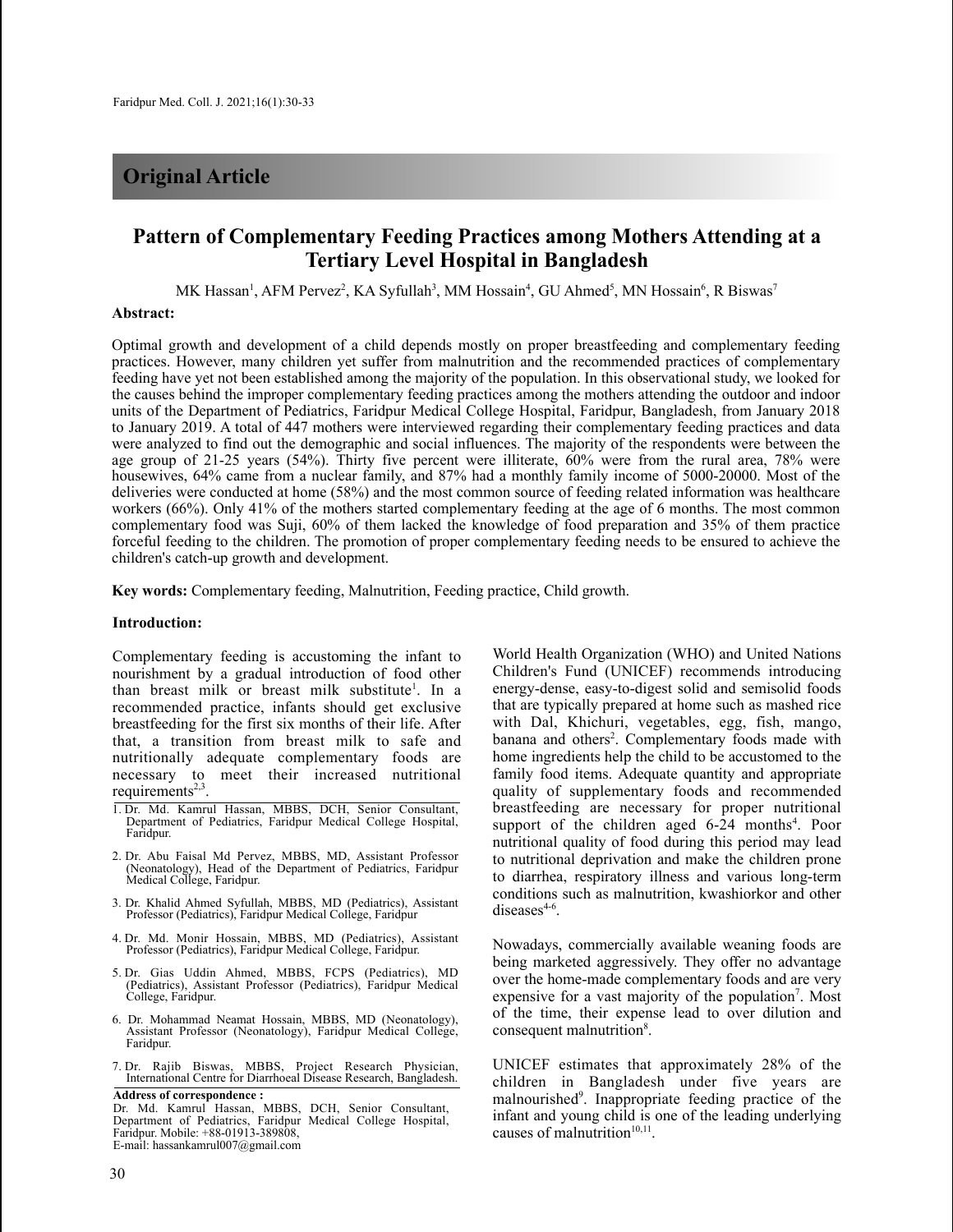## **Original Article**

# **Pattern of Complementary Feeding Practices among Mothers Attending at a Tertiary Level Hospital in Bangladesh**

MK Hassan<sup>1</sup>, AFM Pervez<sup>2</sup>, KA Syfullah<sup>3</sup>, MM Hossain<sup>4</sup>, GU Ahmed<sup>5</sup>, MN Hossain<sup>6</sup>, R Biswas<sup>7</sup>

## **Abstract:**

Optimal growth and development of a child depends mostly on proper breastfeeding and complementary feeding practices. However, many children yet suffer from malnutrition and the recommended practices of complementary feeding have yet not been established among the majority of the population. In this observational study, we looked for the causes behind the improper complementary feeding practices among the mothers attending the outdoor and indoor units of the Department of Pediatrics, Faridpur Medical College Hospital, Faridpur, Bangladesh, from January 2018 to January 2019. A total of 447 mothers were interviewed regarding their complementary feeding practices and data were analyzed to find out the demographic and social influences. The majority of the respondents were between the age group of 21-25 years (54%). Thirty five percent were illiterate, 60% were from the rural area, 78% were housewives, 64% came from a nuclear family, and 87% had a monthly family income of 5000-20000. Most of the deliveries were conducted at home (58%) and the most common source of feeding related information was healthcare workers (66%). Only 41% of the mothers started complementary feeding at the age of 6 months. The most common complementary food was Suji, 60% of them lacked the knowledge of food preparation and 35% of them practice forceful feeding to the children. The promotion of proper complementary feeding needs to be ensured to achieve the children's catch-up growth and development.

**Key words:** Complementary feeding, Malnutrition, Feeding practice, Child growth.

## **Introduction:**

Complementary feeding is accustoming the infant to nourishment by a gradual introduction of food other than breast milk or breast milk substitute<sup>1</sup>. In a recommended practice, infants should get exclusive breastfeeding for the first six months of their life. After that, a transition from breast milk to safe and nutritionally adequate complementary foods are necessary to meet their increased nutritional requirements<sup>2,3</sup>.

- 1. Dr. Md. Kamrul Hassan, MBBS, DCH, Senior Consultant, Department of Pediatrics, Faridpur Medical College Hospital, Faridpur.
- 2. Dr. Abu Faisal Md Pervez, MBBS, MD, Assistant Professor (Neonatology), Head of the Department of Pediatrics, Faridpur Medical College, Faridpur.
- 3. Dr. Khalid Ahmed Syfullah, MBBS, MD (Pediatrics), Assistant Professor (Pediatrics), Faridpur Medical College, Faridpur
- 4. Dr. Md. Monir Hossain, MBBS, MD (Pediatrics), Assistant Professor (Pediatrics), Faridpur Medical College, Faridpur.
- 5. Dr. Gias Uddin Ahmed, MBBS, FCPS (Pediatrics), MD (Pediatrics), Assistant Professor (Pediatrics), Faridpur Medical College, Faridpur.
- 6. Dr. Mohammad Neamat Hossain, MBBS, MD (Neonatology), Assistant Professor (Neonatology), Faridpur Medical College, Faridpur.
- 7. Dr. Rajib Biswas, MBBS, Project Research Physician, International Centre for Diarrhoeal Disease Research, Bangladesh.

**Address of correspondence :** Dr. Md. Kamrul Hassan, MBBS, DCH, Senior Consultant, Department of Pediatrics, Faridpur Medical College Hospital, Faridpur. Mobile: +88-01913-389808, E-mail: hassankamrul007@gmail.com

World Health Organization (WHO) and United Nations Children's Fund (UNICEF) recommends introducing energy-dense, easy-to-digest solid and semisolid foods that are typically prepared at home such as mashed rice with Dal, Khichuri, vegetables, egg, fish, mango, banana and others 2 . Complementary foods made with home ingredients help the child to be accustomed to the family food items. Adequate quantity and appropriate quality of supplementary foods and recommended breastfeeding are necessary for proper nutritional support of the children aged 6-24 months<sup>4</sup>. Poor nutritional quality of food during this period may lead to nutritional deprivation and make the children prone to diarrhea, respiratory illness and various long-term conditions such as malnutrition, kwashiorkor and other diseases<sup>4-6</sup>.

Nowadays, commercially available weaning foods are being marketed aggressively. They offer no advantage over the home-made complementary foods and are very expensive for a vast majority of the population<sup>7</sup>. Most of the time, their expense lead to over dilution and consequent malnutrition<sup>8</sup>.

UNICEF estimates that approximately 28% of the children in Bangladesh under five years are malnourished<sup>9</sup>. Inappropriate feeding practice of the infant and young child is one of the leading underlying causes of malnutrition<sup>10,11</sup>.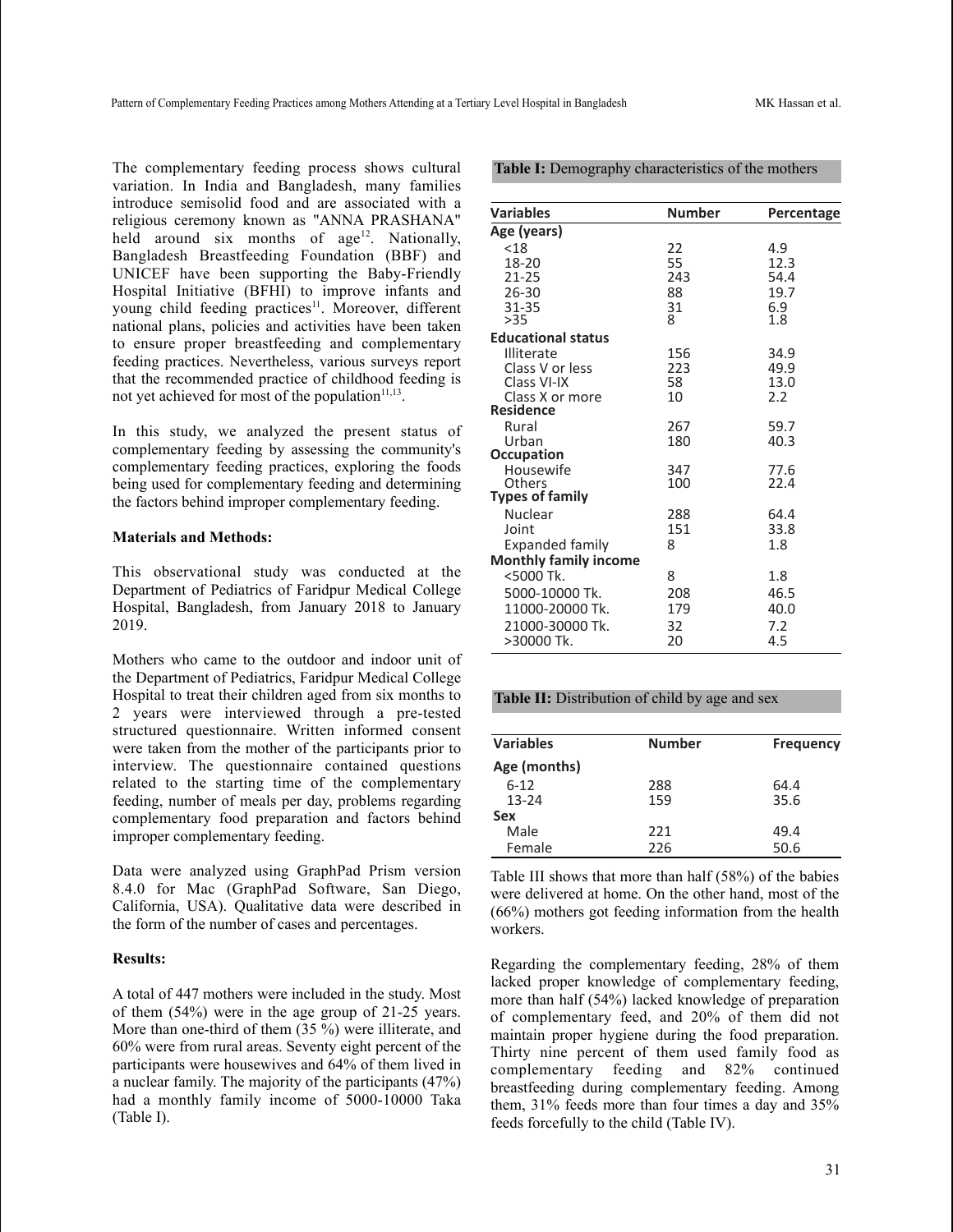The complementary feeding process shows cultural variation. In India and Bangladesh, many families introduce semisolid food and are associated with a religious ceremony known as "ANNA PRASHANA" held around six months of age<sup>12</sup>. Nationally, Bangladesh Breastfeeding Foundation (BBF) and UNICEF have been supporting the Baby-Friendly Hospital Initiative (BFHI) to improve infants and young child feeding practices<sup>11</sup>. Moreover, different national plans, policies and activities have been taken to ensure proper breastfeeding and complementary feeding practices. Nevertheless, various surveys report that the recommended practice of childhood feeding is not yet achieved for most of the population<sup>11,13</sup>.

In this study, we analyzed the present status of complementary feeding by assessing the community's complementary feeding practices, exploring the foods being used for complementary feeding and determining the factors behind improper complementary feeding.

## **Materials and Methods:**

This observational study was conducted at the Department of Pediatrics of Faridpur Medical College Hospital, Bangladesh, from January 2018 to January 2019.

Mothers who came to the outdoor and indoor unit of the Department of Pediatrics, Faridpur Medical College Hospital to treat their children aged from six months to 2 years were interviewed through a pre-tested structured questionnaire. Written informed consent were taken from the mother of the participants prior to interview. The questionnaire contained questions related to the starting time of the complementary feeding, number of meals per day, problems regarding complementary food preparation and factors behind improper complementary feeding.

Data were analyzed using GraphPad Prism version 8.4.0 for Mac (GraphPad Software, San Diego, California, USA). Qualitative data were described in the form of the number of cases and percentages.

## **Results:**

A total of 447 mothers were included in the study. Most of them (54%) were in the age group of 21-25 years. More than one-third of them (35 %) were illiterate, and 60% were from rural areas. Seventy eight percent of the participants were housewives and 64% of them lived in a nuclear family. The majority of the participants (47%) had a monthly family income of 5000-10000 Taka (Table I).

|  |  | <b>Table I:</b> Demography characteristics of the mothers |  |  |
|--|--|-----------------------------------------------------------|--|--|
|--|--|-----------------------------------------------------------|--|--|

| <b>Variables</b>             | <b>Number</b> | Percentage |
|------------------------------|---------------|------------|
| Age (years)                  |               |            |
| < 18                         | 22            | 4.9        |
| 18-20                        | 55            | 12.3       |
| $21 - 25$                    | 243           | 54.4       |
| 26-30                        | 88            | 19.7       |
| 31-35                        | 31<br>8       | 6.9        |
| >35                          |               | 1.8        |
| <b>Educational status</b>    |               |            |
| Illiterate                   | 156           | 34.9       |
| Class V or less              | 223           | 49.9       |
| Class VI-IX                  | 58            | 13.0       |
| Class X or more              | 10            | 2.2        |
| <b>Residence</b>             |               |            |
| Rural                        | 267           | 59.7       |
| Urban                        | 180           | 40.3       |
| <b>Occupation</b>            |               |            |
| Housewife                    | 347           | 77.6       |
| Others                       | 100           | 22.4       |
| <b>Types of family</b>       |               |            |
| Nuclear                      | 288           | 64.4       |
| Joint                        | 151           | 33.8       |
| Expanded family              | 8             | 1.8        |
| <b>Monthly family income</b> |               |            |
| <5000 Tk.                    | 8             | 1.8        |
| 5000-10000 Tk.               | 208           | 46.5       |
| 11000-20000 Tk.              | 179           | 40.0       |
| 21000-30000 Tk.              | 32            | 7.2        |
| >30000 Tk.                   | 20            | 4.5        |

#### **Table II:** Distribution of child by age and sex

| <b>Variables</b> | <b>Number</b> | <b>Frequency</b> |
|------------------|---------------|------------------|
| Age (months)     |               |                  |
| $6 - 12$         | 288           | 64.4             |
| $13 - 24$        | 159           | 35.6             |
| Sex              |               |                  |
| Male             | 221           | 49.4             |
| Female           | 226           | 50.6             |
|                  |               |                  |

Table III shows that more than half (58%) of the babies were delivered at home. On the other hand, most of the (66%) mothers got feeding information from the health workers.

Regarding the complementary feeding, 28% of them lacked proper knowledge of complementary feeding, more than half (54%) lacked knowledge of preparation of complementary feed, and 20% of them did not maintain proper hygiene during the food preparation. Thirty nine percent of them used family food as complementary feeding and 82% continued breastfeeding during complementary feeding. Among them, 31% feeds more than four times a day and 35% feeds forcefully to the child (Table IV).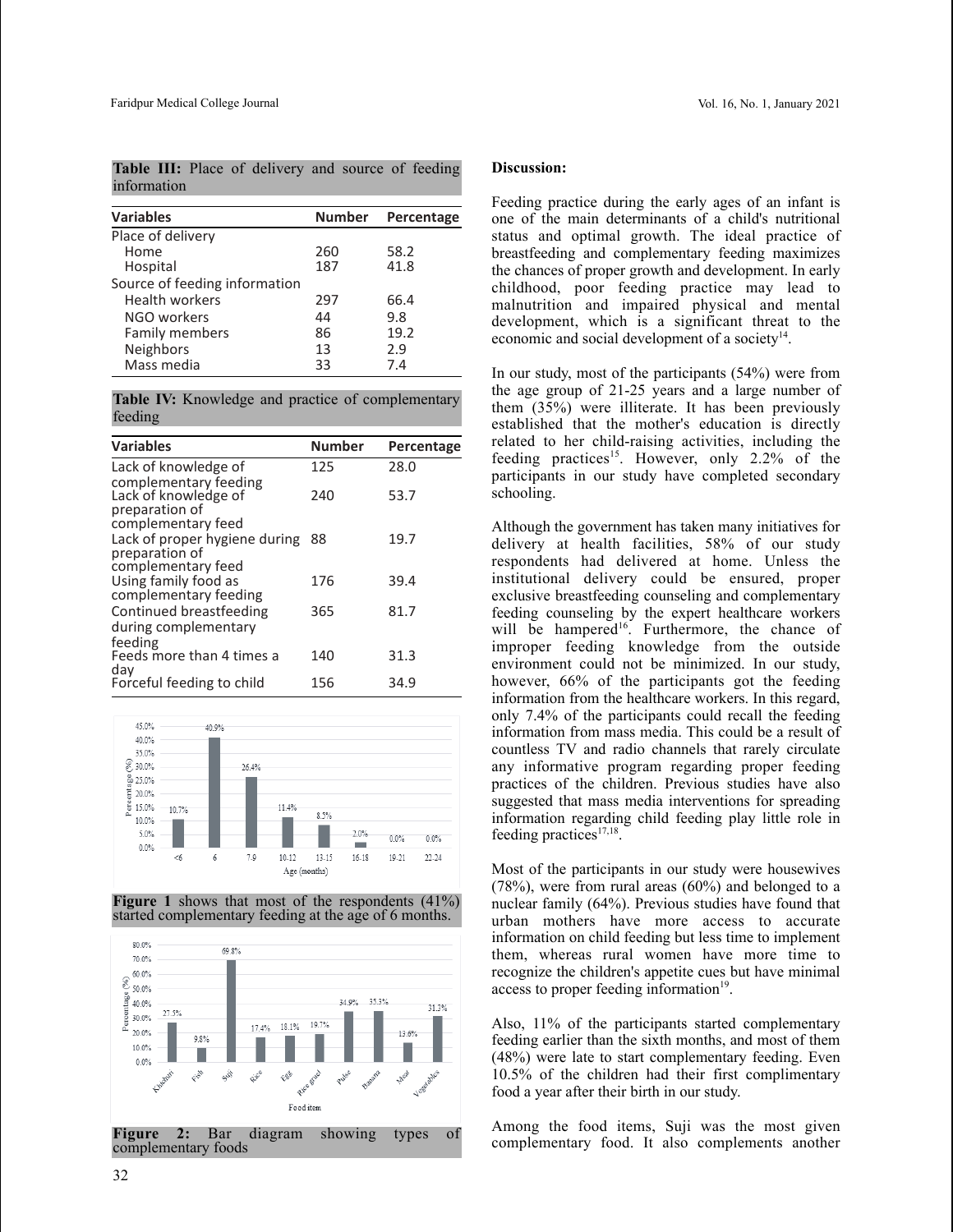**Table III:** Place of delivery and source of feeding information

| <b>Variables</b>              | <b>Number</b> | Percentage |  |
|-------------------------------|---------------|------------|--|
| Place of delivery             |               |            |  |
| Home                          | 260           | 58.2       |  |
| Hospital                      | 187           | 41.8       |  |
| Source of feeding information |               |            |  |
| <b>Health workers</b>         | 297           | 66.4       |  |
| NGO workers                   | 44            | 9.8        |  |
| Family members                | 86            | 19.2       |  |
| Neighbors                     | 13            | 2.9        |  |
| Mass media                    | 33            | 7.4        |  |

**Table IV:** Knowledge and practice of complementary feeding

| <b>Variables</b>                                                                      | <b>Number</b> | Percentage |
|---------------------------------------------------------------------------------------|---------------|------------|
| Lack of knowledge of                                                                  | 125           | 28.0       |
| complementary feeding<br>Lack of knowledge of<br>preparation of<br>complementary feed | 240           | 53.7       |
| Lack of proper hygiene during                                                         | 88            | 19.7       |
| preparation of<br>complementary feed                                                  |               |            |
| Using family food as                                                                  | 176           | 39.4       |
| complementary feeding                                                                 |               |            |
| Continued breastfeeding                                                               | 365           | 81.7       |
| during complementary<br>feeding                                                       |               |            |
| Feeds more than 4 times a                                                             | 140           | 31.3       |
| day<br>Forceful feeding to child                                                      | 156           | 34.9       |



**Figure 1** shows that most of the respondents (41%) started complementary feeding at the age of 6 months.



**Figure 2:** Bar diagram showing types of complementary foods

## **Discussion:**

Feeding practice during the early ages of an infant is one of the main determinants of a child's nutritional status and optimal growth. The ideal practice of breastfeeding and complementary feeding maximizes the chances of proper growth and development. In early childhood, poor feeding practice may lead to malnutrition and impaired physical and mental development, which is a significant threat to the economic and social development of a society<sup>14</sup>.

In our study, most of the participants (54%) were from the age group of 21-25 years and a large number of them (35%) were illiterate. It has been previously established that the mother's education is directly related to her child-raising activities, including the feeding practices<sup>15</sup>. However, only 2.2% of the participants in our study have completed secondary schooling.

Although the government has taken many initiatives for delivery at health facilities, 58% of our study respondents had delivered at home. Unless the institutional delivery could be ensured, proper exclusive breastfeeding counseling and complementary feeding counseling by the expert healthcare workers will be hampered<sup>16</sup>. Furthermore, the chance of improper feeding knowledge from the outside environment could not be minimized. In our study, however, 66% of the participants got the feeding information from the healthcare workers. In this regard, only 7.4% of the participants could recall the feeding information from mass media. This could be a result of countless TV and radio channels that rarely circulate any informative program regarding proper feeding practices of the children. Previous studies have also suggested that mass media interventions for spreading information regarding child feeding play little role in feeding practices<sup>17,18</sup>.

Most of the participants in our study were housewives (78%), were from rural areas (60%) and belonged to a nuclear family (64%). Previous studies have found that urban mothers have more access to accurate information on child feeding but less time to implement them, whereas rural women have more time to recognize the children's appetite cues but have minimal access to proper feeding information<sup>19</sup>.

Also, 11% of the participants started complementary feeding earlier than the sixth months, and most of them (48%) were late to start complementary feeding. Even 10.5% of the children had their first complimentary food a year after their birth in our study.

Among the food items, Suji was the most given complementary food. It also complements another